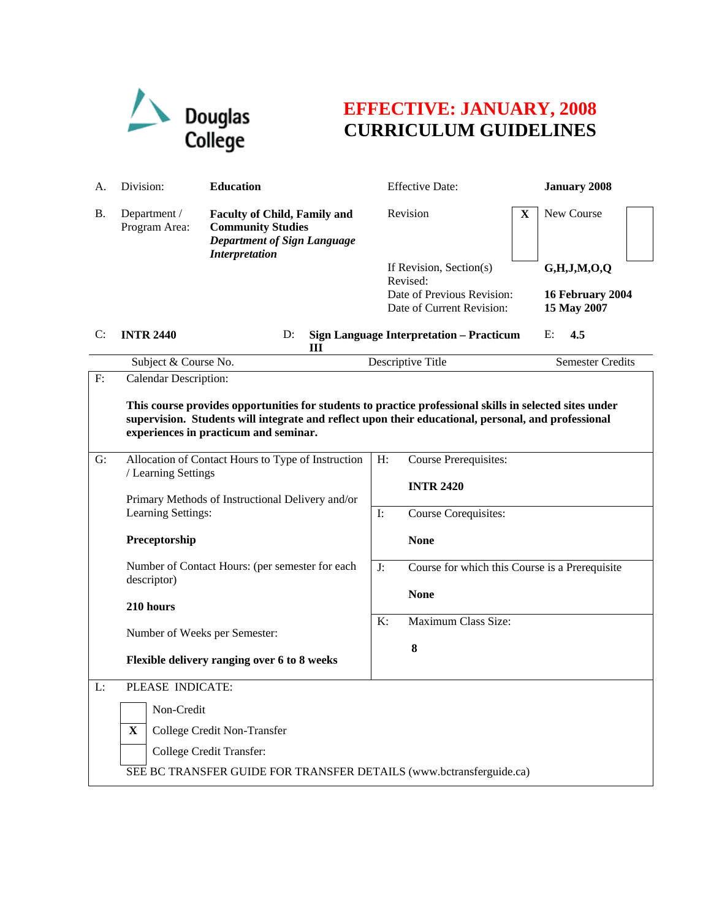

## **EFFECTIVE: JANUARY, 2008 CURRICULUM GUIDELINES**

| А.           | Division:                                                                                                                                                                                                                                                                        | <b>Education</b>                                                                                                               |                | <b>Effective Date:</b>                                              |   | <b>January 2008</b>             |  |  |
|--------------|----------------------------------------------------------------------------------------------------------------------------------------------------------------------------------------------------------------------------------------------------------------------------------|--------------------------------------------------------------------------------------------------------------------------------|----------------|---------------------------------------------------------------------|---|---------------------------------|--|--|
| <b>B.</b>    | Department /<br>Program Area:                                                                                                                                                                                                                                                    | <b>Faculty of Child, Family and</b><br><b>Community Studies</b><br><b>Department of Sign Language</b><br><b>Interpretation</b> |                | Revision                                                            | X | New Course                      |  |  |
|              |                                                                                                                                                                                                                                                                                  |                                                                                                                                |                | If Revision, Section(s)                                             |   | G,H,J,M,O,Q                     |  |  |
|              |                                                                                                                                                                                                                                                                                  |                                                                                                                                |                | Revised:<br>Date of Previous Revision:<br>Date of Current Revision: |   | 16 February 2004<br>15 May 2007 |  |  |
| C:           | <b>INTR 2440</b>                                                                                                                                                                                                                                                                 | D:<br>Ш                                                                                                                        |                | <b>Sign Language Interpretation - Practicum</b>                     |   | 4.5<br>E:                       |  |  |
|              | Subject & Course No.                                                                                                                                                                                                                                                             |                                                                                                                                |                | Descriptive Title                                                   |   | <b>Semester Credits</b>         |  |  |
| $\mathbf{F}$ | Calendar Description:<br>This course provides opportunities for students to practice professional skills in selected sites under<br>supervision. Students will integrate and reflect upon their educational, personal, and professional<br>experiences in practicum and seminar. |                                                                                                                                |                |                                                                     |   |                                 |  |  |
| G:           |                                                                                                                                                                                                                                                                                  | Allocation of Contact Hours to Type of Instruction                                                                             | H:             | <b>Course Prerequisites:</b>                                        |   |                                 |  |  |
|              | / Learning Settings<br>Primary Methods of Instructional Delivery and/or<br>Learning Settings:                                                                                                                                                                                    |                                                                                                                                |                | <b>INTR 2420</b>                                                    |   |                                 |  |  |
|              |                                                                                                                                                                                                                                                                                  |                                                                                                                                | $\mathbf{I}$ : | <b>Course Corequisites:</b>                                         |   |                                 |  |  |
|              | Preceptorship                                                                                                                                                                                                                                                                    |                                                                                                                                |                | <b>None</b>                                                         |   |                                 |  |  |
|              | descriptor)                                                                                                                                                                                                                                                                      | Number of Contact Hours: (per semester for each                                                                                |                | Course for which this Course is a Prerequisite                      |   |                                 |  |  |
|              | 210 hours                                                                                                                                                                                                                                                                        |                                                                                                                                | <b>None</b>    |                                                                     |   |                                 |  |  |
|              | Number of Weeks per Semester:                                                                                                                                                                                                                                                    |                                                                                                                                | K:             | Maximum Class Size:                                                 |   |                                 |  |  |
|              |                                                                                                                                                                                                                                                                                  | Flexible delivery ranging over 6 to 8 weeks                                                                                    |                | 8                                                                   |   |                                 |  |  |
| L:           | PLEASE INDICATE:                                                                                                                                                                                                                                                                 |                                                                                                                                |                |                                                                     |   |                                 |  |  |
|              | Non-Credit                                                                                                                                                                                                                                                                       |                                                                                                                                |                |                                                                     |   |                                 |  |  |
|              | $\mathbf X$                                                                                                                                                                                                                                                                      | College Credit Non-Transfer                                                                                                    |                |                                                                     |   |                                 |  |  |
|              |                                                                                                                                                                                                                                                                                  | College Credit Transfer:                                                                                                       |                |                                                                     |   |                                 |  |  |
|              |                                                                                                                                                                                                                                                                                  | SEE BC TRANSFER GUIDE FOR TRANSFER DETAILS (www.bctransferguide.ca)                                                            |                |                                                                     |   |                                 |  |  |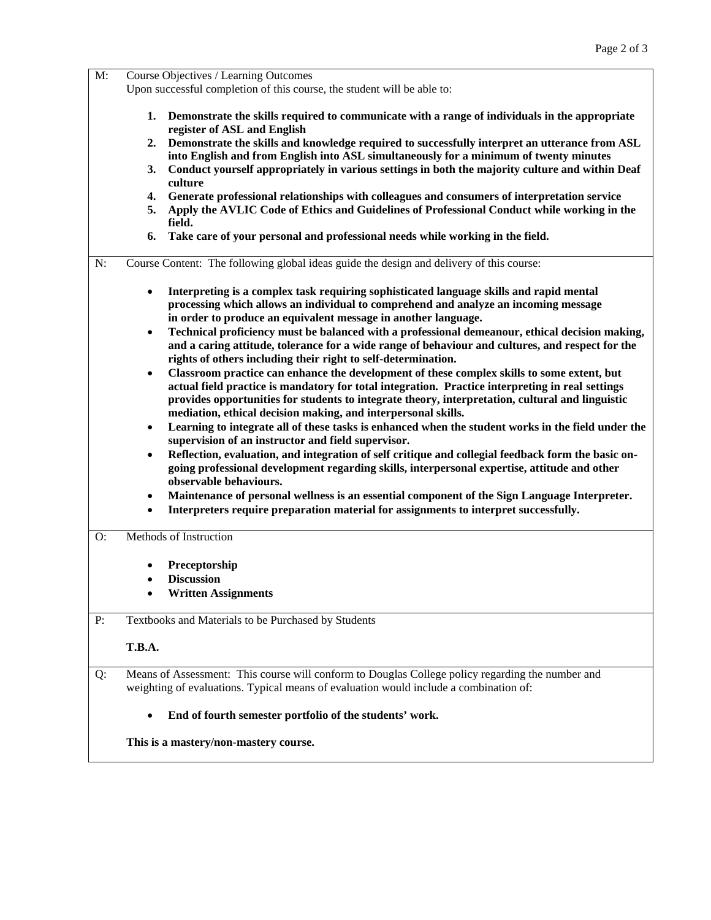| $M$ : | Course Objectives / Learning Outcomes<br>Upon successful completion of this course, the student will be able to:                                                                                                                                                                                                                                                                 |  |  |  |  |
|-------|----------------------------------------------------------------------------------------------------------------------------------------------------------------------------------------------------------------------------------------------------------------------------------------------------------------------------------------------------------------------------------|--|--|--|--|
|       |                                                                                                                                                                                                                                                                                                                                                                                  |  |  |  |  |
|       | Demonstrate the skills required to communicate with a range of individuals in the appropriate<br>1.<br>register of ASL and English<br>Demonstrate the skills and knowledge required to successfully interpret an utterance from ASL<br>2.<br>into English and from English into ASL simultaneously for a minimum of twenty minutes                                               |  |  |  |  |
|       | Conduct yourself appropriately in various settings in both the majority culture and within Deaf<br>3.<br>culture                                                                                                                                                                                                                                                                 |  |  |  |  |
|       | Generate professional relationships with colleagues and consumers of interpretation service<br>4.<br>Apply the AVLIC Code of Ethics and Guidelines of Professional Conduct while working in the<br>5.<br>field.                                                                                                                                                                  |  |  |  |  |
|       | Take care of your personal and professional needs while working in the field.<br>6.                                                                                                                                                                                                                                                                                              |  |  |  |  |
| N:    | Course Content: The following global ideas guide the design and delivery of this course:                                                                                                                                                                                                                                                                                         |  |  |  |  |
|       | Interpreting is a complex task requiring sophisticated language skills and rapid mental<br>$\bullet$<br>processing which allows an individual to comprehend and analyze an incoming message<br>in order to produce an equivalent message in another language.                                                                                                                    |  |  |  |  |
|       | Technical proficiency must be balanced with a professional demeanour, ethical decision making,<br>$\bullet$<br>and a caring attitude, tolerance for a wide range of behaviour and cultures, and respect for the<br>rights of others including their right to self-determination.                                                                                                 |  |  |  |  |
|       | Classroom practice can enhance the development of these complex skills to some extent, but<br>$\bullet$<br>actual field practice is mandatory for total integration. Practice interpreting in real settings<br>provides opportunities for students to integrate theory, interpretation, cultural and linguistic<br>mediation, ethical decision making, and interpersonal skills. |  |  |  |  |
|       | Learning to integrate all of these tasks is enhanced when the student works in the field under the<br>٠<br>supervision of an instructor and field supervisor.<br>Reflection, evaluation, and integration of self critique and collegial feedback form the basic on-<br>$\bullet$                                                                                                 |  |  |  |  |
|       | going professional development regarding skills, interpersonal expertise, attitude and other<br>observable behaviours.                                                                                                                                                                                                                                                           |  |  |  |  |
|       | Maintenance of personal wellness is an essential component of the Sign Language Interpreter.<br>٠<br>Interpreters require preparation material for assignments to interpret successfully.<br>$\bullet$                                                                                                                                                                           |  |  |  |  |
| O:    | Methods of Instruction                                                                                                                                                                                                                                                                                                                                                           |  |  |  |  |
|       | Preceptorship                                                                                                                                                                                                                                                                                                                                                                    |  |  |  |  |
|       | <b>Discussion</b>                                                                                                                                                                                                                                                                                                                                                                |  |  |  |  |
|       | <b>Written Assignments</b>                                                                                                                                                                                                                                                                                                                                                       |  |  |  |  |
| P:    | Textbooks and Materials to be Purchased by Students                                                                                                                                                                                                                                                                                                                              |  |  |  |  |
|       | T.B.A.                                                                                                                                                                                                                                                                                                                                                                           |  |  |  |  |
| Q:    | Means of Assessment: This course will conform to Douglas College policy regarding the number and<br>weighting of evaluations. Typical means of evaluation would include a combination of:                                                                                                                                                                                        |  |  |  |  |
|       | End of fourth semester portfolio of the students' work.<br>$\bullet$                                                                                                                                                                                                                                                                                                             |  |  |  |  |
|       | This is a mastery/non-mastery course.                                                                                                                                                                                                                                                                                                                                            |  |  |  |  |